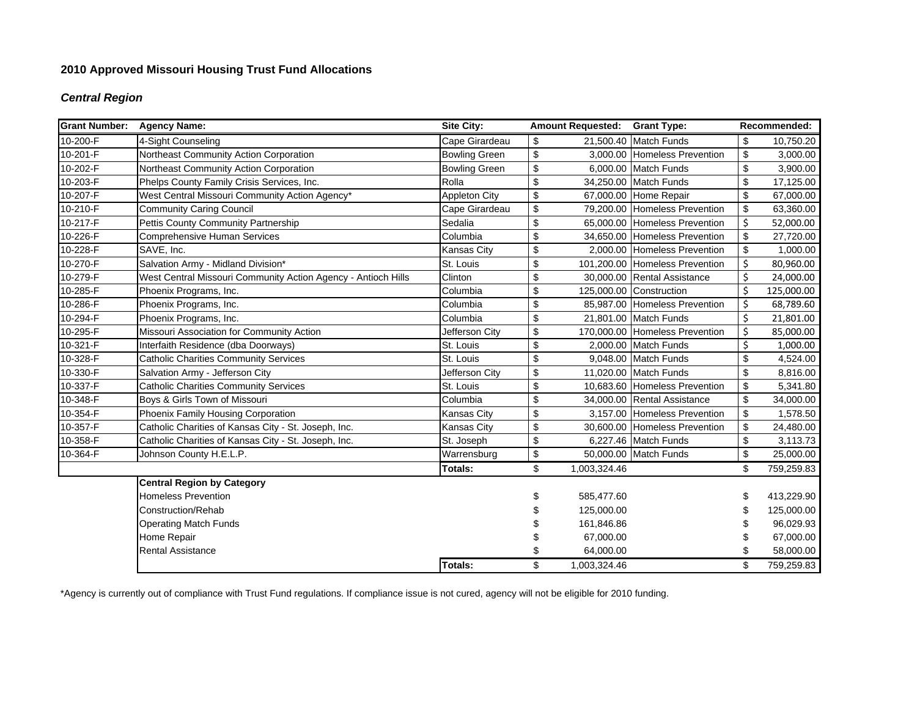# **2010 Approved Missouri Housing Trust Fund Allocations**

## *Central Region*

| <b>Grant Number:</b> | <b>Agency Name:</b>                                           | <b>Site City:</b>    |                           | <b>Amount Requested:</b> | <b>Grant Type:</b>             | Recommended: |            |
|----------------------|---------------------------------------------------------------|----------------------|---------------------------|--------------------------|--------------------------------|--------------|------------|
| 10-200-F             | 4-Sight Counseling                                            | Cape Girardeau       | \$                        |                          | 21,500.40 Match Funds          | \$           | 10,750.20  |
| 10-201-F             | Northeast Community Action Corporation                        | <b>Bowling Green</b> | \$                        |                          | 3,000.00 Homeless Prevention   | \$           | 3,000.00   |
| 10-202-F             | Northeast Community Action Corporation                        | <b>Bowling Green</b> | \$                        |                          | 6.000.00 Match Funds           | \$           | 3,900.00   |
| 10-203-F             | Phelps County Family Crisis Services, Inc.                    | Rolla                | \$                        |                          | 34,250.00 Match Funds          | \$           | 17,125.00  |
| 10-207-F             | West Central Missouri Community Action Agency*                | <b>Appleton City</b> | $\boldsymbol{\mathsf{S}}$ |                          | 67,000.00 Home Repair          | \$           | 67,000.00  |
| 10-210-F             | <b>Community Caring Council</b>                               | Cape Girardeau       | \$                        |                          | 79,200.00 Homeless Prevention  | \$           | 63,360.00  |
| 10-217-F             | Pettis County Community Partnership                           | Sedalia              | \$                        |                          | 65,000.00 Homeless Prevention  | Ś            | 52,000.00  |
| 10-226-F             | <b>Comprehensive Human Services</b>                           | Columbia             | \$                        |                          | 34,650.00 Homeless Prevention  | \$           | 27,720.00  |
| 10-228-F             | SAVE, Inc.                                                    | <b>Kansas City</b>   | $\boldsymbol{\mathsf{S}}$ |                          | 2,000.00 Homeless Prevention   | \$           | 1,000.00   |
| 10-270-F             | Salvation Army - Midland Division*                            | St. Louis            | \$                        |                          | 101,200.00 Homeless Prevention | \$           | 80,960.00  |
| 10-279-F             | West Central Missouri Community Action Agency - Antioch Hills | Clinton              | \$                        |                          | 30,000.00 Rental Assistance    |              | 24,000.00  |
| 10-285-F             | Phoenix Programs, Inc.                                        | Columbia             | \$                        |                          | 125,000.00 Construction        | Ś            | 125,000.00 |
| 10-286-F             | Phoenix Programs, Inc.                                        | Columbia             | \$                        |                          | 85,987.00 Homeless Prevention  | \$           | 68,789.60  |
| 10-294-F             | Phoenix Programs, Inc.                                        | Columbia             | \$                        |                          | 21,801.00 Match Funds          | \$           | 21,801.00  |
| 10-295-F             | Missouri Association for Community Action                     | Jefferson City       | \$                        |                          | 170,000.00 Homeless Prevention | \$           | 85,000.00  |
| 10-321-F             | Interfaith Residence (dba Doorways)                           | St. Louis            | \$                        |                          | 2,000.00 Match Funds           | \$           | 1,000.00   |
| 10-328-F             | <b>Catholic Charities Community Services</b>                  | St. Louis            | \$                        |                          | 9,048.00 Match Funds           | \$           | 4,524.00   |
| 10-330-F             | Salvation Army - Jefferson City                               | Jefferson City       | \$                        |                          | 11,020.00 Match Funds          | \$           | 8,816.00   |
| 10-337-F             | <b>Catholic Charities Community Services</b>                  | St. Louis            | $\boldsymbol{\mathsf{S}}$ |                          | 10,683.60 Homeless Prevention  | \$           | 5,341.80   |
| 10-348-F             | Boys & Girls Town of Missouri                                 | Columbia             | \$                        |                          | 34,000.00 Rental Assistance    | \$           | 34,000.00  |
| 10-354-F             | Phoenix Family Housing Corporation                            | <b>Kansas City</b>   | $\boldsymbol{\mathsf{S}}$ |                          | 3,157.00 Homeless Prevention   | \$           | 1,578.50   |
| 10-357-F             | Catholic Charities of Kansas City - St. Joseph, Inc.          | <b>Kansas City</b>   | \$                        |                          | 30,600.00 Homeless Prevention  | \$           | 24,480.00  |
| 10-358-F             | Catholic Charities of Kansas City - St. Joseph, Inc.          | St. Joseph           | \$                        |                          | 6,227.46 Match Funds           | \$           | 3,113.73   |
| 10-364-F             | Johnson County H.E.L.P.                                       | Warrensburg          | \$                        |                          | 50,000.00 Match Funds          | \$           | 25,000.00  |
|                      |                                                               | Totals:              | \$                        | 1,003,324.46             |                                | \$           | 759,259.83 |
|                      | <b>Central Region by Category</b>                             |                      |                           |                          |                                |              |            |
|                      | <b>Homeless Prevention</b>                                    |                      | \$                        | 585,477.60               |                                |              | 413,229.90 |
|                      | Construction/Rehab                                            |                      |                           | 125,000.00               |                                |              | 125,000.00 |
|                      | <b>Operating Match Funds</b>                                  |                      |                           | 161,846.86               |                                |              | 96,029.93  |
|                      | Home Repair                                                   |                      |                           | 67,000.00                |                                |              | 67,000.00  |
|                      | Rental Assistance                                             |                      | \$                        | 64,000.00                |                                |              | 58,000.00  |
|                      |                                                               | Totals:              | \$                        | 1,003,324.46             |                                | \$           | 759,259.83 |

\*Agency is currently out of compliance with Trust Fund regulations. If compliance issue is not cured, agency will not be eligible for 2010 funding.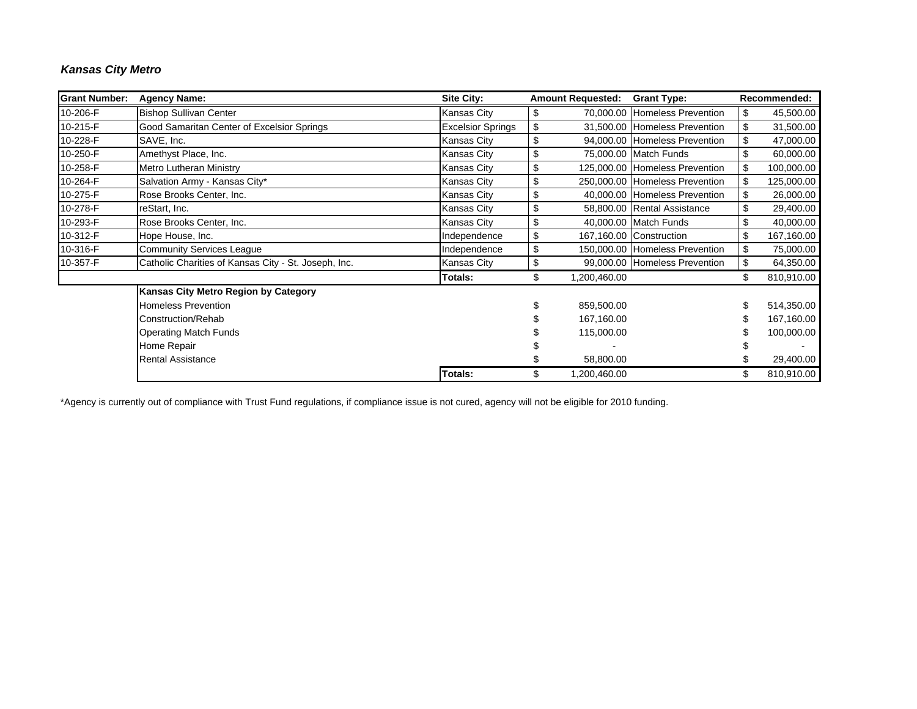## *Kansas City Metro*

| <b>Grant Number:</b> | <b>Agency Name:</b>                                  | <b>Site City:</b>        | <b>Amount Requested:</b> | <b>Grant Type:</b>             | Recommended: |            |
|----------------------|------------------------------------------------------|--------------------------|--------------------------|--------------------------------|--------------|------------|
| 10-206-F             | <b>Bishop Sullivan Center</b>                        | Kansas City              | \$                       | 70,000.00 Homeless Prevention  | \$           | 45,500.00  |
| 10-215-F             | Good Samaritan Center of Excelsior Springs           | <b>Excelsior Springs</b> | \$                       | 31,500.00 Homeless Prevention  | \$           | 31,500.00  |
| 10-228-F             | SAVE, Inc.                                           | Kansas City              | \$                       | 94,000.00 Homeless Prevention  | \$           | 47,000.00  |
| 10-250-F             | Amethyst Place, Inc.                                 | Kansas City              | \$                       | 75,000.00 Match Funds          |              | 60,000.00  |
| 10-258-F             | Metro Lutheran Ministry                              | Kansas City              | \$                       | 125,000.00 Homeless Prevention | \$           | 100,000.00 |
| 10-264-F             | Salvation Army - Kansas City*                        | Kansas City              | \$                       | 250,000.00 Homeless Prevention | \$           | 125,000.00 |
| 10-275-F             | Rose Brooks Center, Inc.                             | Kansas City              | \$                       | 40,000.00 Homeless Prevention  | \$           | 26,000.00  |
| 10-278-F             | reStart, Inc.                                        | Kansas City              | \$                       | 58,800.00 Rental Assistance    |              | 29,400.00  |
| 10-293-F             | Rose Brooks Center, Inc.                             | Kansas City              | \$                       | 40,000.00 Match Funds          | \$           | 40,000.00  |
| 10-312-F             | Hope House, Inc.                                     | Independence             | \$                       | 167,160.00 Construction        | \$           | 167,160.00 |
| 10-316-F             | <b>Community Services League</b>                     | Independence             | \$                       | 150,000.00 Homeless Prevention | \$           | 75,000.00  |
| 10-357-F             | Catholic Charities of Kansas City - St. Joseph, Inc. | Kansas City              | \$                       | 99,000.00 Homeless Prevention  | \$           | 64,350.00  |
|                      |                                                      | <b>Totals:</b>           | \$<br>1,200,460.00       |                                | \$           | 810,910.00 |
|                      | Kansas City Metro Region by Category                 |                          |                          |                                |              |            |
|                      | <b>Homeless Prevention</b>                           |                          | 859,500.00               |                                |              | 514,350.00 |
|                      | Construction/Rehab                                   |                          | 167,160.00               |                                |              | 167,160.00 |
|                      | <b>Operating Match Funds</b>                         |                          | 115,000.00               |                                |              | 100,000.00 |
|                      | Home Repair                                          |                          |                          |                                |              |            |
|                      | <b>Rental Assistance</b>                             |                          | 58,800.00                |                                |              | 29,400.00  |
|                      |                                                      | <b>Totals:</b>           | 1,200,460.00             |                                |              | 810,910.00 |

\*Agency is currently out of compliance with Trust Fund regulations, if compliance issue is not cured, agency will not be eligible for 2010 funding.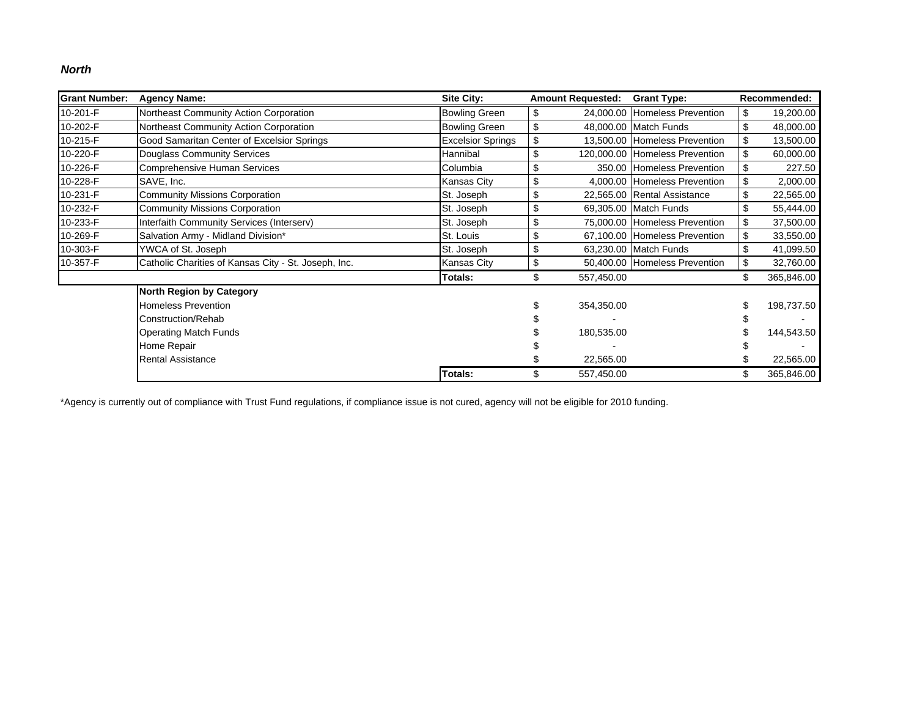### *North*

| <b>Grant Number:</b> | <b>Agency Name:</b>                                  | <b>Site City:</b>        | <b>Amount Requested:</b> | <b>Grant Type:</b>             | Recommended: |            |
|----------------------|------------------------------------------------------|--------------------------|--------------------------|--------------------------------|--------------|------------|
| 10-201-F             | Northeast Community Action Corporation               | <b>Bowling Green</b>     | \$                       | 24,000.00 Homeless Prevention  | \$           | 19,200.00  |
| 10-202-F             | Northeast Community Action Corporation               | <b>Bowling Green</b>     | \$                       | 48,000.00 Match Funds          | \$           | 48,000.00  |
| 10-215-F             | Good Samaritan Center of Excelsior Springs           | <b>Excelsior Springs</b> |                          | 13,500.00 Homeless Prevention  | \$           | 13,500.00  |
| 10-220-F             | <b>Douglass Community Services</b>                   | Hannibal                 | \$                       | 120,000.00 Homeless Prevention | \$           | 60,000.00  |
| 10-226-F             | Comprehensive Human Services                         | Columbia                 |                          | 350.00 Homeless Prevention     | \$           | 227.50     |
| 10-228-F             | SAVE, Inc.                                           | Kansas City              | \$                       | 4,000.00 Homeless Prevention   | \$           | 2,000.00   |
| 10-231-F             | <b>Community Missions Corporation</b>                | St. Joseph               | \$                       | 22,565.00 Rental Assistance    |              | 22,565.00  |
| 10-232-F             | <b>Community Missions Corporation</b>                | St. Joseph               | \$                       | 69,305.00 Match Funds          |              | 55,444.00  |
| 10-233-F             | Interfaith Community Services (Interserv)            | St. Joseph               | \$                       | 75,000.00 Homeless Prevention  | \$           | 37,500.00  |
| 10-269-F             | Salvation Army - Midland Division*                   | St. Louis                | \$                       | 67,100.00 Homeless Prevention  |              | 33,550.00  |
| 10-303-F             | YWCA of St. Joseph                                   | St. Joseph               | \$                       | 63,230.00 Match Funds          |              | 41,099.50  |
| 10-357-F             | Catholic Charities of Kansas City - St. Joseph, Inc. | Kansas City              | \$                       | 50,400.00 Homeless Prevention  | \$           | 32,760.00  |
|                      |                                                      | <b>Totals:</b>           | \$<br>557,450.00         |                                |              | 365,846.00 |
|                      | <b>North Region by Category</b>                      |                          |                          |                                |              |            |
|                      | <b>Homeless Prevention</b>                           |                          | 354,350.00               |                                |              | 198,737.50 |
|                      | Construction/Rehab                                   |                          |                          |                                |              |            |
|                      | <b>Operating Match Funds</b>                         |                          | 180,535.00               |                                |              | 144,543.50 |
|                      | Home Repair                                          |                          |                          |                                |              |            |
|                      | <b>Rental Assistance</b>                             |                          | 22,565.00                |                                |              | 22,565.00  |
|                      |                                                      | <b>Totals:</b>           | 557,450.00               |                                |              | 365,846.00 |

\*Agency is currently out of compliance with Trust Fund regulations, if compliance issue is not cured, agency will not be eligible for 2010 funding.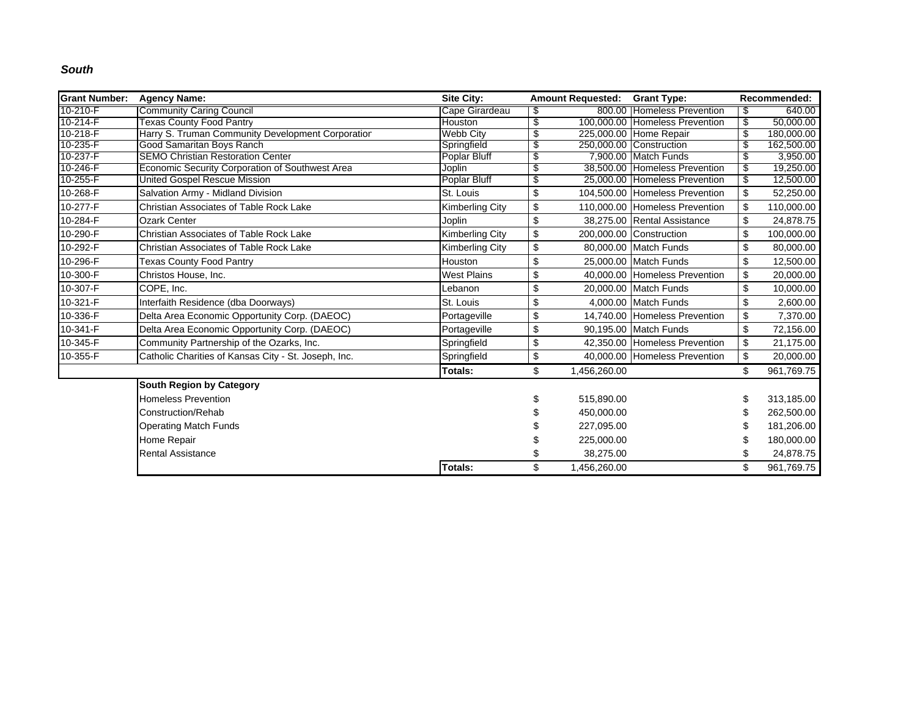#### *South*

| <b>Grant Number:</b> | <b>Agency Name:</b>                                  | Site City:             |     | <b>Amount Requested: Grant Type:</b> |                                | Recommended: |            |
|----------------------|------------------------------------------------------|------------------------|-----|--------------------------------------|--------------------------------|--------------|------------|
| 10-210-F             | <b>Community Caring Council</b>                      | Cape Girardeau         | \$  |                                      | 800.00 Homeless Prevention     | - \$         | 640.00     |
| $10-214-F$           | <b>Texas County Food Pantry</b>                      | Houston                | \$  |                                      | 100,000.00 Homeless Prevention | \$           | 50,000.00  |
| 10-218-F             | Harry S. Truman Community Development Corporation    | <b>Webb City</b>       | \$  |                                      | 225,000.00 Home Repair         | \$           | 180,000.00 |
| 10-235-F             | Good Samaritan Boys Ranch                            | Springfield            | S   |                                      | 250,000.00 Construction        | \$           | 162,500.00 |
| 10-237-F             | <b>SEMO Christian Restoration Center</b>             | Poplar Bluff           | \$  |                                      | 7.900.00 Match Funds           | \$           | 3,950.00   |
| 10-246-F             | Economic Security Corporation of Southwest Area      | Joplin                 | \$  |                                      | 38,500.00 Homeless Prevention  | \$           | 19,250.00  |
| 10-255-F             | <b>United Gospel Rescue Mission</b>                  | Poplar Bluff           | \$  |                                      | 25,000,00 Homeless Prevention  | \$           | 12,500.00  |
| 10-268-F             | Salvation Army - Midland Division                    | St. Louis              | \$  |                                      | 104,500.00 Homeless Prevention | \$           | 52,250.00  |
| 10-277-F             | Christian Associates of Table Rock Lake              | <b>Kimberling City</b> | \$  |                                      | 110,000.00 Homeless Prevention | \$           | 110,000.00 |
| 10-284-F             | <b>Ozark Center</b>                                  | Joplin                 | \$  |                                      | 38.275.00 Rental Assistance    | \$           | 24,878.75  |
| 10-290-F             | Christian Associates of Table Rock Lake              | <b>Kimberling City</b> | \$  |                                      | 200,000.00 Construction        | \$           | 100,000.00 |
| 10-292-F             | Christian Associates of Table Rock Lake              | <b>Kimberling City</b> | \$  |                                      | 80,000.00 Match Funds          | \$           | 80,000.00  |
| 10-296-F             | <b>Texas County Food Pantry</b>                      | Houston                | \$  |                                      | 25,000.00 Match Funds          | \$           | 12,500.00  |
| 10-300-F             | Christos House, Inc.                                 | <b>West Plains</b>     | \$  |                                      | 40,000.00 Homeless Prevention  | \$           | 20,000.00  |
| 10-307-F             | COPE. Inc.                                           | Lebanon                | \$  |                                      | 20,000.00 Match Funds          | \$           | 10,000.00  |
| 10-321-F             | Interfaith Residence (dba Doorways)                  | St. Louis              | \$  |                                      | 4.000.00 Match Funds           | \$           | 2,600.00   |
| 10-336-F             | Delta Area Economic Opportunity Corp. (DAEOC)        | Portageville           | \$  |                                      | 14,740.00 Homeless Prevention  | \$           | 7,370.00   |
| 10-341-F             | Delta Area Economic Opportunity Corp. (DAEOC)        | Portageville           | \$  |                                      | 90,195.00 Match Funds          | \$           | 72,156.00  |
| 10-345-F             | Community Partnership of the Ozarks, Inc.            | Springfield            | \$  |                                      | 42,350.00 Homeless Prevention  | \$           | 21,175.00  |
| 10-355-F             | Catholic Charities of Kansas City - St. Joseph, Inc. | Springfield            | \$  |                                      | 40,000.00 Homeless Prevention  | \$           | 20,000.00  |
|                      |                                                      | Totals:                | \$. | 1,456,260.00                         |                                | \$           | 961,769.75 |
|                      | South Region by Category                             |                        |     |                                      |                                |              |            |
|                      | <b>Homeless Prevention</b>                           |                        |     | 515,890.00                           |                                | S            | 313,185.00 |
|                      | Construction/Rehab                                   |                        |     | 450,000.00                           |                                |              | 262,500.00 |
|                      | <b>Operating Match Funds</b>                         |                        |     | 227,095.00                           |                                |              | 181,206.00 |
|                      | Home Repair                                          |                        |     | 225,000.00                           |                                |              | 180,000.00 |
|                      | <b>Rental Assistance</b>                             |                        |     | 38,275.00                            |                                |              | 24,878.75  |
|                      |                                                      | <b>Totals:</b>         | \$  | 1,456,260.00                         |                                | \$           | 961,769.75 |